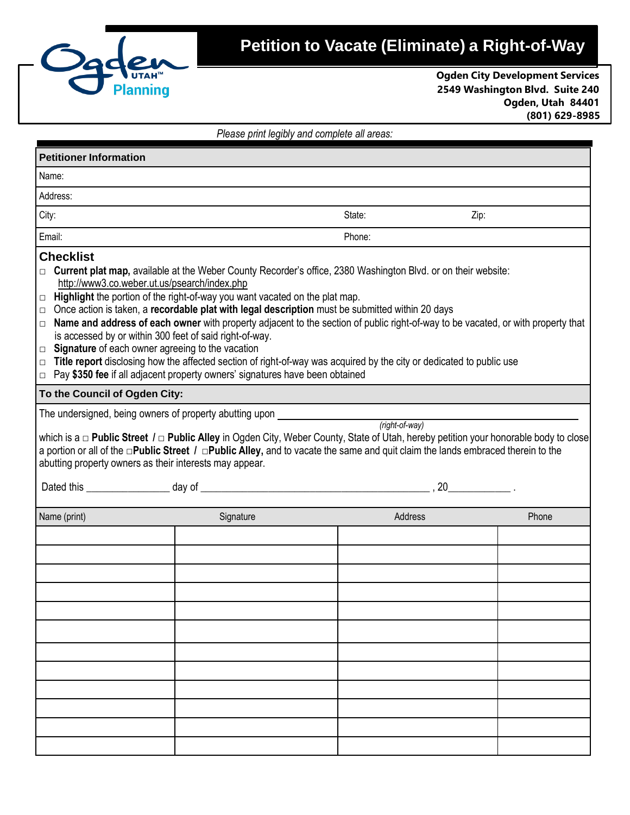

## **Petition to Vacate (Eliminate) a Right-of-Way**

**Ogden City Development Services 2549 Washington Blvd. Suite 240 Ogden, Utah 84401 (801) 629-8985**

| <b>Planning</b>                                                                                                                                     |                                                                                                                                                                                                                                                                                                                                                                                                                                                                                                                                                                                                                                                                                                                                                                                                                                                                                                                                                                                                                                                                                                                                                              |                                              |      | <b>Ogden City Development Servic</b><br>2549 Washington Blvd. Suite 24<br>Ogden, Utah 844<br>(801) 629-89 |
|-----------------------------------------------------------------------------------------------------------------------------------------------------|--------------------------------------------------------------------------------------------------------------------------------------------------------------------------------------------------------------------------------------------------------------------------------------------------------------------------------------------------------------------------------------------------------------------------------------------------------------------------------------------------------------------------------------------------------------------------------------------------------------------------------------------------------------------------------------------------------------------------------------------------------------------------------------------------------------------------------------------------------------------------------------------------------------------------------------------------------------------------------------------------------------------------------------------------------------------------------------------------------------------------------------------------------------|----------------------------------------------|------|-----------------------------------------------------------------------------------------------------------|
|                                                                                                                                                     |                                                                                                                                                                                                                                                                                                                                                                                                                                                                                                                                                                                                                                                                                                                                                                                                                                                                                                                                                                                                                                                                                                                                                              | Please print legibly and complete all areas: |      |                                                                                                           |
| <b>Petitioner Information</b>                                                                                                                       |                                                                                                                                                                                                                                                                                                                                                                                                                                                                                                                                                                                                                                                                                                                                                                                                                                                                                                                                                                                                                                                                                                                                                              |                                              |      |                                                                                                           |
| Name:                                                                                                                                               |                                                                                                                                                                                                                                                                                                                                                                                                                                                                                                                                                                                                                                                                                                                                                                                                                                                                                                                                                                                                                                                                                                                                                              |                                              |      |                                                                                                           |
| Address:                                                                                                                                            |                                                                                                                                                                                                                                                                                                                                                                                                                                                                                                                                                                                                                                                                                                                                                                                                                                                                                                                                                                                                                                                                                                                                                              |                                              |      |                                                                                                           |
| City:                                                                                                                                               |                                                                                                                                                                                                                                                                                                                                                                                                                                                                                                                                                                                                                                                                                                                                                                                                                                                                                                                                                                                                                                                                                                                                                              | State:                                       | Zip: |                                                                                                           |
| Email:                                                                                                                                              |                                                                                                                                                                                                                                                                                                                                                                                                                                                                                                                                                                                                                                                                                                                                                                                                                                                                                                                                                                                                                                                                                                                                                              | Phone:                                       |      |                                                                                                           |
| $\Box$ Signature of each owner agreeing to the vacation<br>To the Council of Ogden City:<br>abutting property owners as their interests may appear. | $\Box$ Current plat map, available at the Weber County Recorder's office, 2380 Washington Blvd. or on their website:<br>http://www3.co.weber.ut.us/psearch/index.php<br>$\Box$ Highlight the portion of the right-of-way you want vacated on the plat map.<br>$\Box$ Once action is taken, a recordable plat with legal description must be submitted within 20 days<br>$\Box$ Name and address of each owner with property adjacent to the section of public right-of-way to be vacated, or with property that<br>is accessed by or within 300 feet of said right-of-way.<br>$\Box$ Title report disclosing how the affected section of right-of-way was acquired by the city or dedicated to public use<br>$\Box$ Pay \$350 fee if all adjacent property owners' signatures have been obtained<br>The undersigned, being owners of property abutting upon<br>which is a $\Box$ Public Street / $\Box$ Public Alley in Ogden City, Weber County, State of Utah, hereby petition your honorable body to close<br>a portion or all of the $\Box$ Public Street / $\Box$ Public Alley, and to vacate the same and quit claim the lands embraced therein to the | (right-of-way)                               |      |                                                                                                           |
| Dated this ______________________ day of ______                                                                                                     |                                                                                                                                                                                                                                                                                                                                                                                                                                                                                                                                                                                                                                                                                                                                                                                                                                                                                                                                                                                                                                                                                                                                                              | 20                                           |      |                                                                                                           |
| Name (print)                                                                                                                                        | Signature                                                                                                                                                                                                                                                                                                                                                                                                                                                                                                                                                                                                                                                                                                                                                                                                                                                                                                                                                                                                                                                                                                                                                    | Address                                      |      | Phone                                                                                                     |
|                                                                                                                                                     |                                                                                                                                                                                                                                                                                                                                                                                                                                                                                                                                                                                                                                                                                                                                                                                                                                                                                                                                                                                                                                                                                                                                                              |                                              |      |                                                                                                           |
|                                                                                                                                                     |                                                                                                                                                                                                                                                                                                                                                                                                                                                                                                                                                                                                                                                                                                                                                                                                                                                                                                                                                                                                                                                                                                                                                              |                                              |      |                                                                                                           |
|                                                                                                                                                     |                                                                                                                                                                                                                                                                                                                                                                                                                                                                                                                                                                                                                                                                                                                                                                                                                                                                                                                                                                                                                                                                                                                                                              |                                              |      |                                                                                                           |
|                                                                                                                                                     |                                                                                                                                                                                                                                                                                                                                                                                                                                                                                                                                                                                                                                                                                                                                                                                                                                                                                                                                                                                                                                                                                                                                                              |                                              |      |                                                                                                           |
|                                                                                                                                                     |                                                                                                                                                                                                                                                                                                                                                                                                                                                                                                                                                                                                                                                                                                                                                                                                                                                                                                                                                                                                                                                                                                                                                              |                                              |      |                                                                                                           |
|                                                                                                                                                     |                                                                                                                                                                                                                                                                                                                                                                                                                                                                                                                                                                                                                                                                                                                                                                                                                                                                                                                                                                                                                                                                                                                                                              |                                              |      |                                                                                                           |
|                                                                                                                                                     |                                                                                                                                                                                                                                                                                                                                                                                                                                                                                                                                                                                                                                                                                                                                                                                                                                                                                                                                                                                                                                                                                                                                                              |                                              |      |                                                                                                           |
|                                                                                                                                                     |                                                                                                                                                                                                                                                                                                                                                                                                                                                                                                                                                                                                                                                                                                                                                                                                                                                                                                                                                                                                                                                                                                                                                              |                                              |      |                                                                                                           |
|                                                                                                                                                     |                                                                                                                                                                                                                                                                                                                                                                                                                                                                                                                                                                                                                                                                                                                                                                                                                                                                                                                                                                                                                                                                                                                                                              |                                              |      |                                                                                                           |
|                                                                                                                                                     |                                                                                                                                                                                                                                                                                                                                                                                                                                                                                                                                                                                                                                                                                                                                                                                                                                                                                                                                                                                                                                                                                                                                                              |                                              |      |                                                                                                           |
|                                                                                                                                                     |                                                                                                                                                                                                                                                                                                                                                                                                                                                                                                                                                                                                                                                                                                                                                                                                                                                                                                                                                                                                                                                                                                                                                              |                                              |      |                                                                                                           |